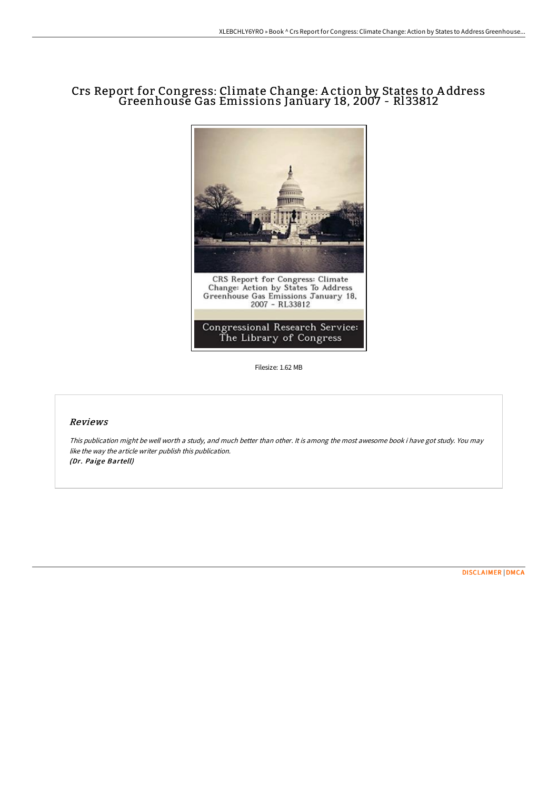# Crs Report for Congress: Climate Change: A ction by States to A ddress Greenhouse Gas Emissions January 18, 2007 - Rl33812



Filesize: 1.62 MB

#### Reviews

This publication might be well worth <sup>a</sup> study, and much better than other. It is among the most awesome book i have got study. You may like the way the article writer publish this publication. (Dr. Paige Bartell)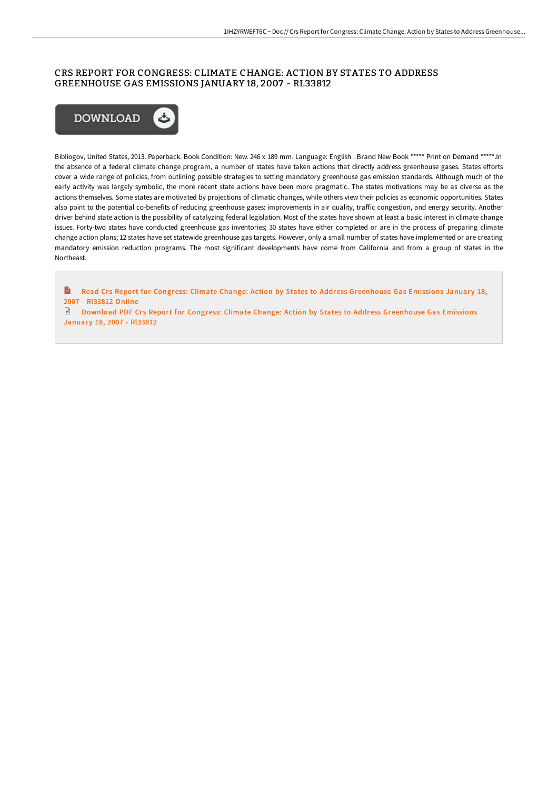## CRS REPORT FOR CONGRESS: CLIMATE CHANGE: ACTION BY STATES TO ADDRESS GREENHOUSE GAS EMISSIONS JANUARY 18, 2007 - RL33812



Bibliogov, United States, 2013. Paperback. Book Condition: New. 246 x 189 mm. Language: English . Brand New Book \*\*\*\*\* Print on Demand \*\*\*\*\*.In the absence of a federal climate change program, a number of states have taken actions that directly address greenhouse gases. States efforts cover a wide range of policies, from outlining possible strategies to setting mandatory greenhouse gas emission standards. Although much of the early activity was largely symbolic, the more recent state actions have been more pragmatic. The states motivations may be as diverse as the actions themselves. Some states are motivated by projections of climatic changes, while others view their policies as economic opportunities. States also point to the potential co-benefits of reducing greenhouse gases: improvements in air quality, traffic congestion, and energy security. Another driver behind state action is the possibility of catalyzing federal legislation. Most of the states have shown at least a basic interest in climate change issues. Forty-two states have conducted greenhouse gas inventories; 30 states have either completed or are in the process of preparing climate change action plans; 12 states have set statewide greenhouse gas targets. However, only a small number of states have implemented or are creating mandatory emission reduction programs. The most significant developments have come from California and from a group of states in the Northeast.

 $\mathbf{m}$ Read Crs Report for Congress: Climate Change: Action by States to Address [Greenhouse](http://digilib.live/crs-report-for-congress-climate-change-action-by-1.html) Gas Emissions January 18, 2007 - Rl33812 Online

Download PDF Crs Report for Congress: Climate Change: Action by States to Address [Greenhouse](http://digilib.live/crs-report-for-congress-climate-change-action-by-1.html) Gas Emissions January 18, 2007 - Rl33812